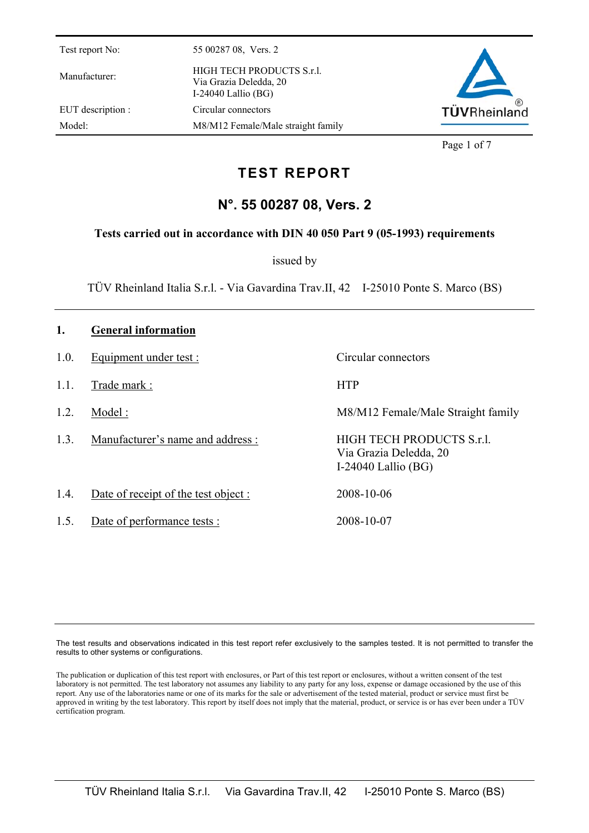Manufacturer: HIGH TECH PRODUCTS S.r.l. Via Grazia Deledda, 20 I-24040 Lallio (BG) EUT description : Circular connectors Model: M8/M12 Female/Male straight family



Page 1 of 7

# **TEST REPORT**

## **N°. 55 00287 08, Vers. 2**

#### **Tests carried out in accordance with DIN 40 050 Part 9 (05-1993) requirements**

issued by

TÜV Rheinland Italia S.r.l. - Via Gavardina Trav.II, 42 I-25010 Ponte S. Marco (BS)

| 1.   | <b>General information</b>          |                                                                              |
|------|-------------------------------------|------------------------------------------------------------------------------|
| 1.0. | Equipment under test :              | Circular connectors                                                          |
| 1.1. | Trade mark:                         | <b>HTP</b>                                                                   |
| 1.2. | Model:                              | M8/M12 Female/Male Straight family                                           |
| 1.3. | Manufacturer's name and address :   | HIGH TECH PRODUCTS S.r.l.<br>Via Grazia Deledda, 20<br>I-24040 Lallio $(BG)$ |
| 1.4. | Date of receipt of the test object: | 2008-10-06                                                                   |
| 1.5. | Date of performance tests :         | 2008-10-07                                                                   |

The test results and observations indicated in this test report refer exclusively to the samples tested. It is not permitted to transfer the results to other systems or configurations.

The publication or duplication of this test report with enclosures, or Part of this test report or enclosures, without a written consent of the test laboratory is not permitted. The test laboratory not assumes any liability to any party for any loss, expense or damage occasioned by the use of this report. Any use of the laboratories name or one of its marks for the sale or advertisement of the tested material, product or service must first be approved in writing by the test laboratory. This report by itself does not imply that the material, product, or service is or has ever been under a TÜV certification program.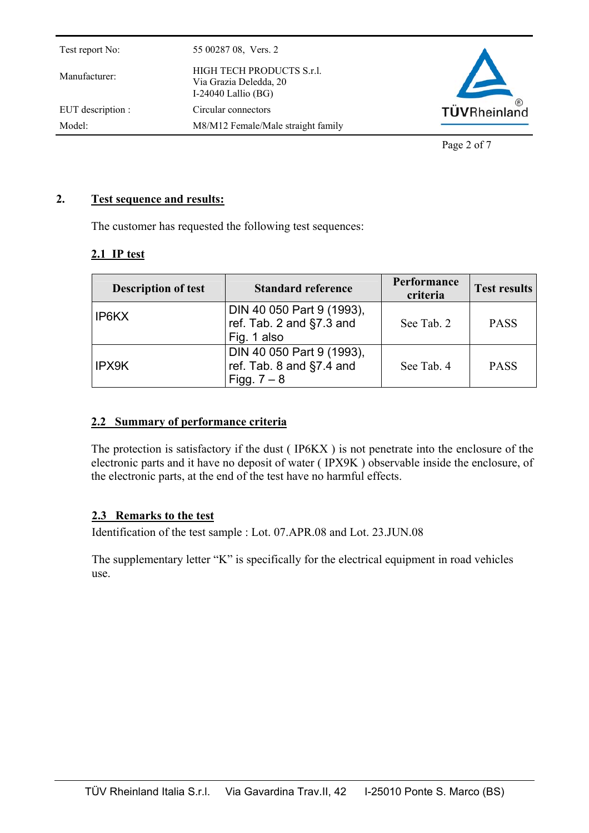| HIGH TECH PRODUCTS S.r.l.<br>Manufacturer:<br>Via Grazia Deledda, 20<br>I-24040 Lallio $(BG)$ | Test report No: |                     |
|-----------------------------------------------------------------------------------------------|-----------------|---------------------|
|                                                                                               |                 |                     |
| EUT description :<br>Circular connectors                                                      |                 | <b>TÜVRheinland</b> |
| Model:<br>M8/M12 Female/Male straight family                                                  |                 |                     |

Page 2 of 7

#### **2. Test sequence and results:**

The customer has requested the following test sequences:

#### **2.1 IP test**

| <b>Description of test</b> | <b>Standard reference</b>                                                | <b>Performance</b><br>criteria | <b>Test results</b> |
|----------------------------|--------------------------------------------------------------------------|--------------------------------|---------------------|
| IP6KX                      | DIN 40 050 Part 9 (1993),<br>ref. Tab. 2 and §7.3 and<br>Fig. 1 also     | See Tab. 2                     | <b>PASS</b>         |
| IPX9K                      | DIN 40 050 Part 9 (1993),<br>ref. Tab. 8 and $\S$ 7.4 and<br>Figg. $7-8$ | See Tab. 4                     | <b>PASS</b>         |

#### **2.2 Summary of performance criteria**

The protection is satisfactory if the dust ( IP6KX ) is not penetrate into the enclosure of the electronic parts and it have no deposit of water ( IPX9K ) observable inside the enclosure, of the electronic parts, at the end of the test have no harmful effects.

#### **2.3 Remarks to the test**

Identification of the test sample : Lot. 07.APR.08 and Lot. 23.JUN.08

The supplementary letter "K" is specifically for the electrical equipment in road vehicles use.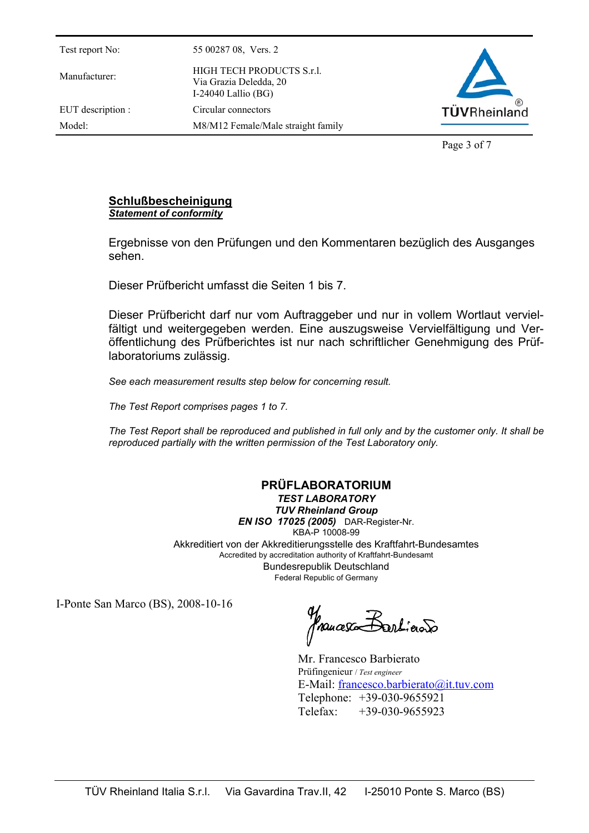Manufacturer: HIGH TECH PRODUCTS S.r.l. Via Grazia Deledda, 20 I-24040 Lallio (BG) EUT description : Circular connectors



Page 3 of 7

#### **Schlußbescheinigung** *Statement of conformity*

Model: M8/M12 Female/Male straight family

Ergebnisse von den Prüfungen und den Kommentaren bezüglich des Ausganges sehen.

Dieser Prüfbericht umfasst die Seiten 1 bis 7.

Dieser Prüfbericht darf nur vom Auftraggeber und nur in vollem Wortlaut vervielfältigt und weitergegeben werden. Eine auszugsweise Vervielfältigung und Veröffentlichung des Prüfberichtes ist nur nach schriftlicher Genehmigung des Prüflaboratoriums zulässig.

*See each measurement results step below for concerning result.* 

*The Test Report comprises pages 1 to 7.* 

*The Test Report shall be reproduced and published in full only and by the customer only. It shall be reproduced partially with the written permission of the Test Laboratory only.* 

### **PRÜFLABORATORIUM**

*TEST LABORATORY TUV Rheinland Group EN ISO 17025 (2005)* DAR-Register-Nr. KBA-P 10008-99 Akkreditiert von der Akkreditierungsstelle des Kraftfahrt-Bundesamtes Accredited by accreditation authority of Kraftfahrt-Bundesamt Bundesrepublik Deutschland Federal Republic of Germany

I-Ponte San Marco (BS), 2008-10-16

francesco Bartíciono

Mr. Francesco Barbierato Prüfingenieur / *Test engineer*  E-Mail: francesco.barbierato@it.tuv.com Telephone: +39-030-9655921 Telefax: +39-030-9655923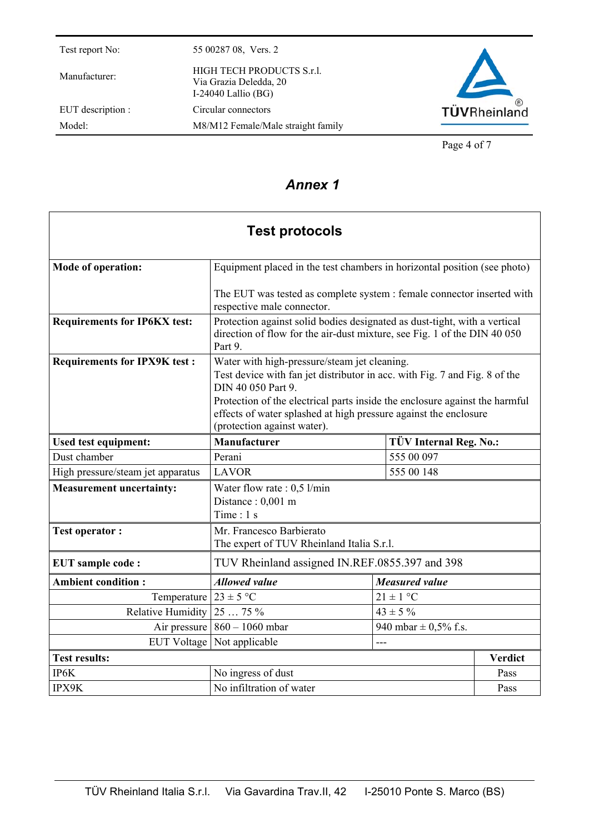Manufacturer: HIGH TECH PRODUCTS S.r.l. Via Grazia Deledda, 20 I-24040 Lallio (BG) EUT description : Circular connectors Model: M8/M12 Female/Male straight family



Page 4 of 7

### *Annex 1*

| <b>Test protocols</b>               |                                                                                                                                                                                                                                                                                                                                    |                               |                |  |  |  |  |
|-------------------------------------|------------------------------------------------------------------------------------------------------------------------------------------------------------------------------------------------------------------------------------------------------------------------------------------------------------------------------------|-------------------------------|----------------|--|--|--|--|
| <b>Mode of operation:</b>           | Equipment placed in the test chambers in horizontal position (see photo)                                                                                                                                                                                                                                                           |                               |                |  |  |  |  |
|                                     | The EUT was tested as complete system : female connector inserted with<br>respective male connector.                                                                                                                                                                                                                               |                               |                |  |  |  |  |
| <b>Requirements for IP6KX test:</b> | Protection against solid bodies designated as dust-tight, with a vertical<br>direction of flow for the air-dust mixture, see Fig. 1 of the DIN 40 050<br>Part 9.                                                                                                                                                                   |                               |                |  |  |  |  |
| <b>Requirements for IPX9K test:</b> | Water with high-pressure/steam jet cleaning.<br>Test device with fan jet distributor in acc. with Fig. 7 and Fig. 8 of the<br>DIN 40 050 Part 9.<br>Protection of the electrical parts inside the enclosure against the harmful<br>effects of water splashed at high pressure against the enclosure<br>(protection against water). |                               |                |  |  |  |  |
| <b>Used test equipment:</b>         | <b>Manufacturer</b>                                                                                                                                                                                                                                                                                                                | <b>TÜV Internal Reg. No.:</b> |                |  |  |  |  |
| Dust chamber                        | Perani                                                                                                                                                                                                                                                                                                                             | 555 00 097                    |                |  |  |  |  |
| High pressure/steam jet apparatus   | <b>LAVOR</b>                                                                                                                                                                                                                                                                                                                       | 555 00 148                    |                |  |  |  |  |
| <b>Measurement uncertainty:</b>     | Water flow rate : $0,5$ l/min<br>Distance: 0,001 m<br>Time: $1 s$                                                                                                                                                                                                                                                                  |                               |                |  |  |  |  |
| <b>Test operator:</b>               | Mr. Francesco Barbierato<br>The expert of TUV Rheinland Italia S.r.l.                                                                                                                                                                                                                                                              |                               |                |  |  |  |  |
| <b>EUT</b> sample code:             | TUV Rheinland assigned IN.REF.0855.397 and 398                                                                                                                                                                                                                                                                                     |                               |                |  |  |  |  |
| <b>Ambient condition:</b>           | <b>Allowed value</b>                                                                                                                                                                                                                                                                                                               | <b>Measured value</b>         |                |  |  |  |  |
| Temperature                         | $23 \pm 5$ °C                                                                                                                                                                                                                                                                                                                      | $21 \pm 1$ °C                 |                |  |  |  |  |
| Relative Humidity                   | $2575\%$                                                                                                                                                                                                                                                                                                                           | $43 \pm 5 \%$                 |                |  |  |  |  |
| Air pressure                        | $860 - 1060$ mbar                                                                                                                                                                                                                                                                                                                  | 940 mbar $\pm$ 0.5% f.s.      |                |  |  |  |  |
| <b>EUT Voltage</b>                  | Not applicable                                                                                                                                                                                                                                                                                                                     | ---                           |                |  |  |  |  |
| <b>Test results:</b>                |                                                                                                                                                                                                                                                                                                                                    |                               | <b>Verdict</b> |  |  |  |  |
| IP6K                                | No ingress of dust                                                                                                                                                                                                                                                                                                                 |                               | Pass           |  |  |  |  |
| IPX9K                               | No infiltration of water                                                                                                                                                                                                                                                                                                           |                               | Pass           |  |  |  |  |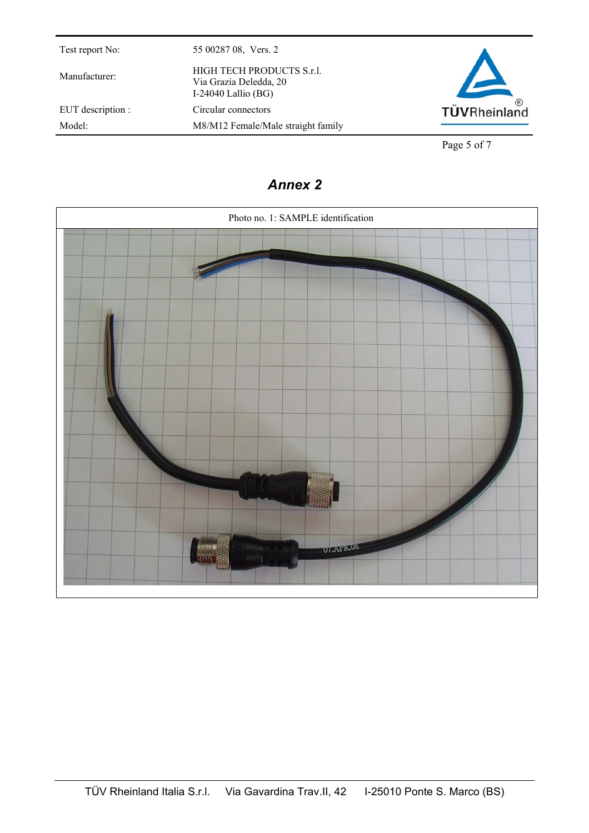Manufacturer: HIGH TECH PRODUCTS S.r.l.

EUT description : Circular connectors

Test report No: 55 00287 08, Vers. 2

Via Grazia Deledda, 20 I-24040 Lallio (BG)

Model: M8/M12 Female/Male straight family



Page 5 of 7

# *Annex 2*

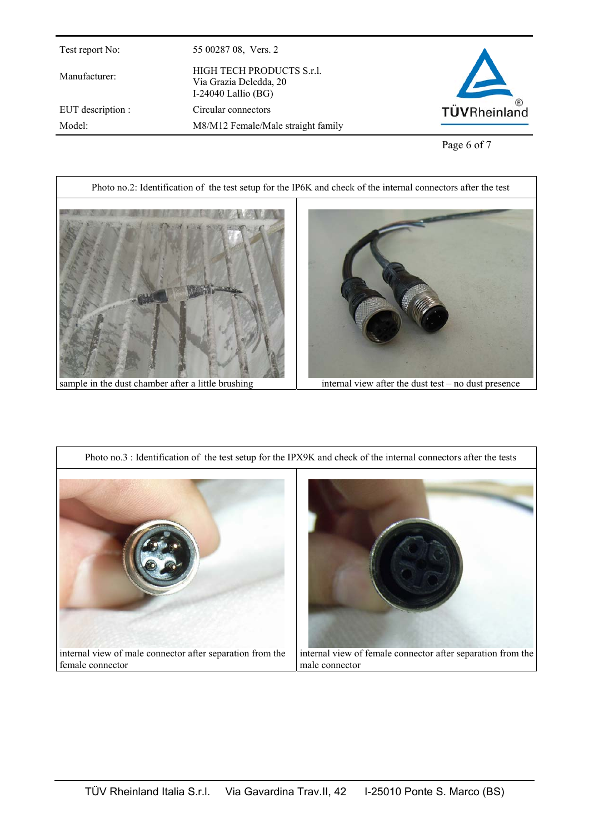EUT description : Circular connectors

Manufacturer: HIGH TECH PRODUCTS S.r.l. Via Grazia Deledda, 20 I-24040 Lallio (BG)

Model: M8/M12 Female/Male straight family



Page 6 of 7



sample in the dust chamber after a little brushing internal view after the dust test – no dust presence